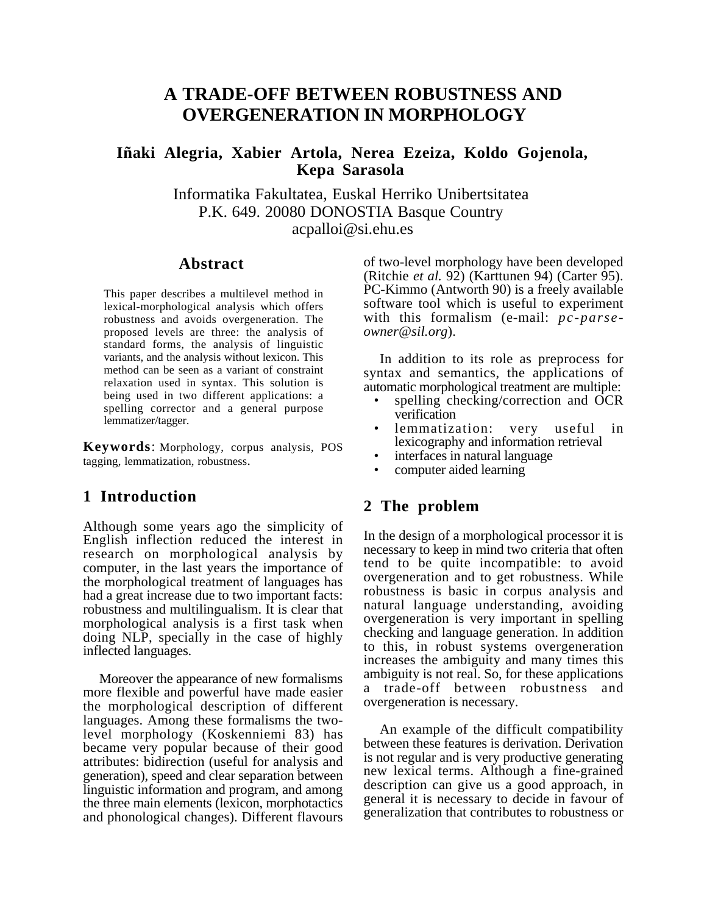# **A TRADE-OFF BETWEEN ROBUSTNESS AND OVERGENERATION IN MORPHOLOGY**

## **Iñaki Alegria, Xabier Artola, Nerea Ezeiza, Koldo Gojenola, Kepa Sarasola**

Informatika Fakultatea, Euskal Herriko Unibertsitatea P.K. 649. 20080 DONOSTIA Basque Country acpalloi@si.ehu.es

#### **Abstract**

This paper describes a multilevel method in lexical-morphological analysis which offers robustness and avoids overgeneration. The proposed levels are three: the analysis of standard forms, the analysis of linguistic variants, and the analysis without lexicon. This method can be seen as a variant of constraint relaxation used in syntax. This solution is being used in two different applications: a spelling corrector and a general purpose lemmatizer/tagger.

**Keywords**: Morphology, corpus analysis, POS tagging, lemmatization, robustness.

## **1 Introduction**

Although some years ago the simplicity of English inflection reduced the interest in research on morphological analysis by computer, in the last years the importance of the morphological treatment of languages has had a great increase due to two important facts: robustness and multilingualism. It is clear that morphological analysis is a first task when doing NLP, specially in the case of highly inflected languages.

Moreover the appearance of new formalisms more flexible and powerful have made easier the morphological description of different languages. Among these formalisms the twolevel morphology (Koskenniemi 83) has became very popular because of their good attributes: bidirection (useful for analysis and generation), speed and clear separation between linguistic information and program, and among the three main elements (lexicon, morphotactics and phonological changes). Different flavours

of two-level morphology have been developed (Ritchie *et al.* 92) (Karttunen 94) (Carter 95). PC-Kimmo (Antworth 90) is a freely available software tool which is useful to experiment with this formalism (e-mail: *pc-parseowner@sil.org*).

In addition to its role as preprocess for syntax and semantics, the applications of automatic morphological treatment are multiple:

- spelling checking/correction and OCR verification
- lemmatization: very useful in lexicography and information retrieval
- interfaces in natural language
- computer aided learning

## **2 The problem**

In the design of a morphological processor it is necessary to keep in mind two criteria that often tend to be quite incompatible: to avoid overgeneration and to get robustness. While robustness is basic in corpus analysis and natural language understanding, avoiding overgeneration is very important in spelling checking and language generation. In addition to this, in robust systems overgeneration increases the ambiguity and many times this ambiguity is not real. So, for these applications a trade-off between robustness and overgeneration is necessary.

An example of the difficult compatibility between these features is derivation. Derivation is not regular and is very productive generating new lexical terms. Although a fine-grained description can give us a good approach, in general it is necessary to decide in favour of generalization that contributes to robustness or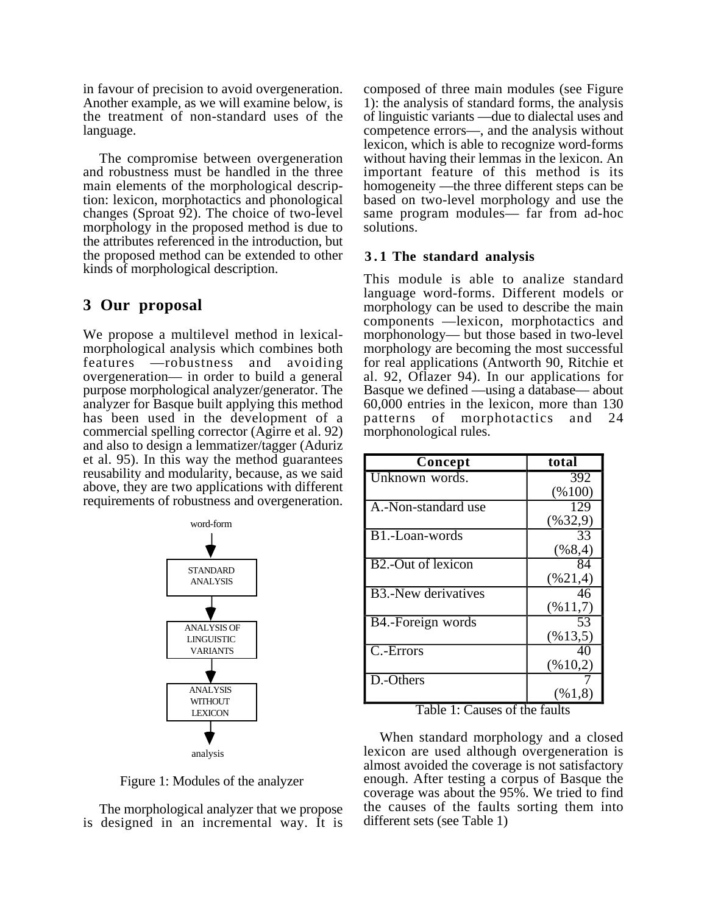in favour of precision to avoid overgeneration. Another example, as we will examine below, is the treatment of non-standard uses of the language.

The compromise between overgeneration and robustness must be handled in the three main elements of the morphological description: lexicon, morphotactics and phonological changes (Sproat 92). The choice of two-level morphology in the proposed method is due to the attributes referenced in the introduction, but the proposed method can be extended to other kinds of morphological description.

## **3 Our proposal**

We propose a multilevel method in lexicalmorphological analysis which combines both features —robustness and avoiding overgeneration— in order to build a general purpose morphological analyzer/generator. The analyzer for Basque built applying this method has been used in the development of a commercial spelling corrector (Agirre et al. 92) and also to design a lemmatizer/tagger (Aduriz et al. 95). In this way the method guarantees reusability and modularity, because, as we said above, they are two applications with different requirements of robustness and overgeneration.



Figure 1: Modules of the analyzer

The morphological analyzer that we propose is designed in an incremental way. It is composed of three main modules (see Figure 1): the analysis of standard forms, the analysis of linguistic variants —due to dialectal uses and competence errors—, and the analysis without lexicon, which is able to recognize word-forms without having their lemmas in the lexicon. An important feature of this method is its homogeneity —the three different steps can be based on two-level morphology and use the same program modules— far from ad-hoc solutions.

#### **3 . 1 The standard analysis**

This module is able to analize standard language word-forms. Different models or morphology can be used to describe the main components —lexicon, morphotactics and morphonology— but those based in two-level morphology are becoming the most successful for real applications (Antworth 90, Ritchie et al. 92, Oflazer 94). In our applications for Basque we defined —using a database— about 60,000 entries in the lexicon, more than 130 patterns of morphotactics and 24 morphonological rules.

| Concept                         | total                |
|---------------------------------|----------------------|
| Unknown words.                  | 392                  |
|                                 | (%100)               |
| A.-Non-standard use             | 129                  |
|                                 | $(\frac{9632,9}{$    |
| B1.-Loan-words                  | 33                   |
|                                 | (%8,4)               |
| B <sub>2</sub> .-Out of lexicon | 84                   |
|                                 | $(\frac{9621,4}{$    |
| <b>B3.-New derivatives</b>      | 46                   |
|                                 | $(\frac{9611,7}{$    |
| B4.-Foreign words               | 53                   |
|                                 | $(\frac{9613,5}{5})$ |
| C.-Errors                       | 40                   |
|                                 | $(\frac{6}{10,2})$   |
| $\overline{D}$ . -Others        |                      |
|                                 | (961,8)              |

Table 1: Causes of the faults

When standard morphology and a closed lexicon are used although overgeneration is almost avoided the coverage is not satisfactory enough. After testing a corpus of Basque the coverage was about the 95%. We tried to find the causes of the faults sorting them into different sets (see Table 1)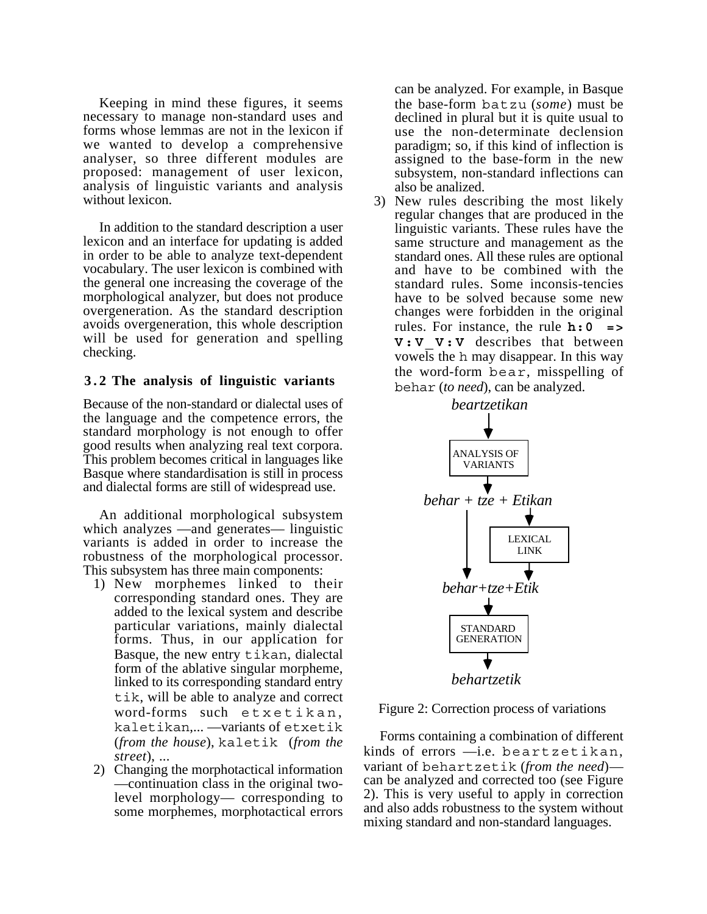Keeping in mind these figures, it seems necessary to manage non-standard uses and forms whose lemmas are not in the lexicon if we wanted to develop a comprehensive analyser, so three different modules are proposed: management of user lexicon, analysis of linguistic variants and analysis without lexicon.

In addition to the standard description a user lexicon and an interface for updating is added in order to be able to analyze text-dependent vocabulary. The user lexicon is combined with the general one increasing the coverage of the morphological analyzer, but does not produce overgeneration. As the standard description avoids overgeneration, this whole description will be used for generation and spelling checking.

#### **3 . 2 The analysis of linguistic variants**

Because of the non-standard or dialectal uses of the language and the competence errors, the standard morphology is not enough to offer good results when analyzing real text corpora. This problem becomes critical in languages like Basque where standardisation is still in process and dialectal forms are still of widespread use.

An additional morphological subsystem which analyzes —and generates— linguistic variants is added in order to increase the robustness of the morphological processor. This subsystem has three main components:

- 1) New morphemes linked to their corresponding standard ones. They are added to the lexical system and describe particular variations, mainly dialectal forms. Thus, in our application for Basque, the new entry tikan, dialectal form of the ablative singular morpheme, linked to its corresponding standard entry tik, will be able to analyze and correct word-forms such etxetikan. kaletikan,... —variants of etxetik (*from the house*), kaletik (*from the street*), ...
- 2) Changing the morphotactical information —continuation class in the original twolevel morphology— corresponding to some morphemes, morphotactical errors

can be analyzed. For example, in Basque the base-form batzu (*some*) must be declined in plural but it is quite usual to use the non-determinate declension paradigm; so, if this kind of inflection is assigned to the base-form in the new subsystem, non-standard inflections can also be analized.

3) New rules describing the most likely regular changes that are produced in the linguistic variants. These rules have the same structure and management as the standard ones. All these rules are optional and have to be combined with the standard rules. Some inconsis-tencies have to be solved because some new changes were forbidden in the original rules. For instance, the rule  $h:0$ **V:V\_V:V** describes that between vowels the h may disappear. In this way the word-form bear, misspelling of behar (*to need*), can be analyzed.



Figure 2: Correction process of variations

Forms containing a combination of different kinds of errors —i.e. beartzetikan, variant of behartzetik (*from the need*) can be analyzed and corrected too (see Figure 2). This is very useful to apply in correction and also adds robustness to the system without mixing standard and non-standard languages.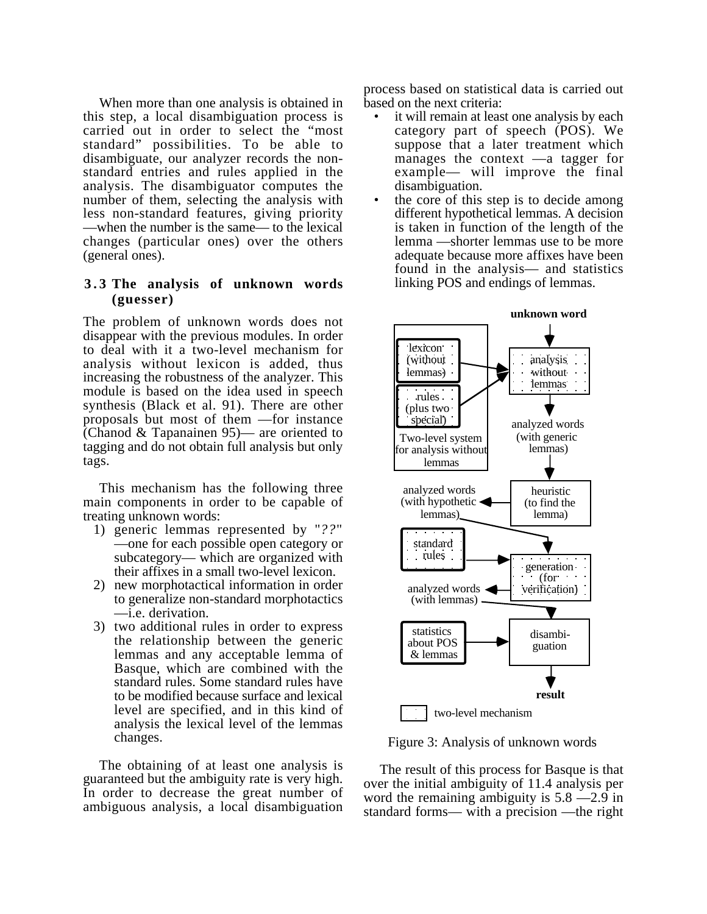When more than one analysis is obtained in this step, a local disambiguation process is carried out in order to select the "most standard" possibilities. To be able to disambiguate, our analyzer records the nonstandard entries and rules applied in the analysis. The disambiguator computes the number of them, selecting the analysis with less non-standard features, giving priority —when the number is the same— to the lexical changes (particular ones) over the others (general ones).

#### **3.3 The analysis of unknown words (guesser)**

The problem of unknown words does not disappear with the previous modules. In order to deal with it a two-level mechanism for analysis without lexicon is added, thus increasing the robustness of the analyzer. This module is based on the idea used in speech synthesis (Black et al. 91). There are other proposals but most of them —for instance (Chanod & Tapanainen 95)— are oriented to tagging and do not obtain full analysis but only tags.

This mechanism has the following three main components in order to be capable of treating unknown words:

- 1) generic lemmas represented by "*??*" —one for each possible open category or subcategory— which are organized with their affixes in a small two-level lexicon.
- 2) new morphotactical information in order to generalize non-standard morphotactics —i.e. derivation.
- 3) two additional rules in order to express the relationship between the generic lemmas and any acceptable lemma of Basque, which are combined with the standard rules. Some standard rules have to be modified because surface and lexical level are specified, and in this kind of analysis the lexical level of the lemmas changes.

The obtaining of at least one analysis is guaranteed but the ambiguity rate is very high. In order to decrease the great number of ambiguous analysis, a local disambiguation

process based on statistical data is carried out based on the next criteria:

- it will remain at least one analysis by each category part of speech (POS). We suppose that a later treatment which manages the context —a tagger for example— will improve the final disambiguation.
- the core of this step is to decide among different hypothetical lemmas. A decision is taken in function of the length of the lemma —shorter lemmas use to be more adequate because more affixes have been found in the analysis— and statistics linking POS and endings of lemmas.



Figure 3: Analysis of unknown words

The result of this process for Basque is that over the initial ambiguity of 11.4 analysis per word the remaining ambiguity is 5.8 —2.9 in standard forms— with a precision —the right